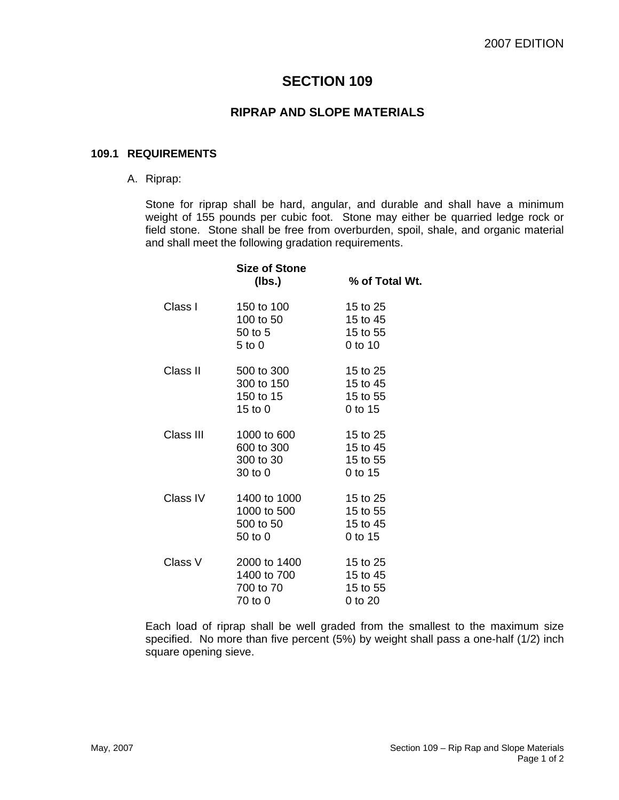# **SECTION 109**

## **RIPRAP AND SLOPE MATERIALS**

#### **109.1 REQUIREMENTS**

A. Riprap:

Stone for riprap shall be hard, angular, and durable and shall have a minimum weight of 155 pounds per cubic foot. Stone may either be quarried ledge rock or field stone. Stone shall be free from overburden, spoil, shale, and organic material and shall meet the following gradation requirements.

|           | <b>Size of Stone</b><br>(lbs.)                      | % of Total Wt.                              |
|-----------|-----------------------------------------------------|---------------------------------------------|
| Class I   | 150 to 100<br>100 to 50<br>50 to 5<br>$5$ to $0$    | 15 to 25<br>15 to 45<br>15 to 55<br>0 to 10 |
| Class II  | 500 to 300<br>300 to 150<br>150 to 15<br>15 to $0$  | 15 to 25<br>15 to 45<br>15 to 55<br>0 to 15 |
| Class III | 1000 to 600<br>600 to 300<br>300 to 30<br>30 to 0   | 15 to 25<br>15 to 45<br>15 to 55<br>0 to 15 |
| Class IV  | 1400 to 1000<br>1000 to 500<br>500 to 50<br>50 to 0 | 15 to 25<br>15 to 55<br>15 to 45<br>0 to 15 |
| Class V   | 2000 to 1400<br>1400 to 700<br>700 to 70<br>70 to 0 | 15 to 25<br>15 to 45<br>15 to 55<br>0 to 20 |

Each load of riprap shall be well graded from the smallest to the maximum size specified. No more than five percent (5%) by weight shall pass a one-half (1/2) inch square opening sieve.